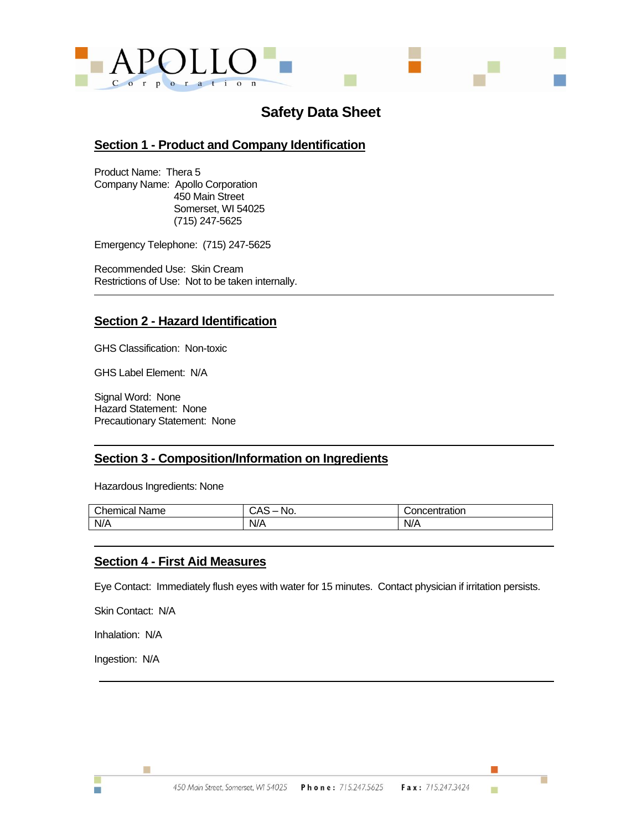

# **Safety Data Sheet**

### **Section 1 - Product and Company Identification**

Product Name: Thera 5 Company Name: Apollo Corporation 450 Main Street Somerset, WI 54025 (715) 247-5625

Emergency Telephone: (715) 247-5625

Recommended Use: Skin Cream Restrictions of Use: Not to be taken internally.

## **Section 2 - Hazard Identification**

GHS Classification: Non-toxic

GHS Label Element: N/A

Signal Word: None Hazard Statement: None Precautionary Statement: None

### **Section 3 - Composition/Information on Ingredients**

Hazardous Ingredients: None

| Chemical<br>Name | NG<br>◡ᄼ<br>ີ<br>w. | aliul<br>. . г |
|------------------|---------------------|----------------|
| N/A              | N/A                 | N/A            |

#### **Section 4 - First Aid Measures**

Eye Contact: Immediately flush eyes with water for 15 minutes. Contact physician if irritation persists.

Skin Contact: N/A

Inhalation: N/A

Ingestion: N/A

Ħ

m.

г

ш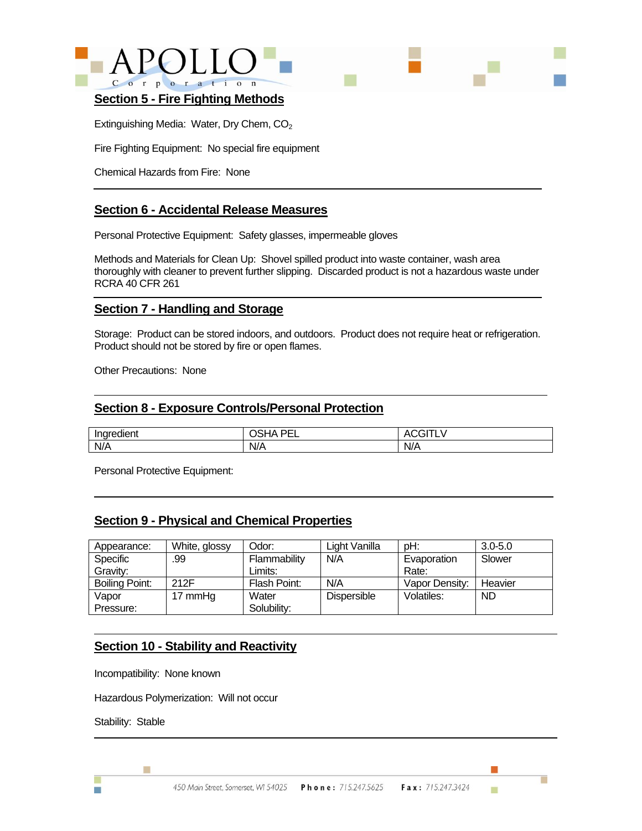



#### **Section 5 - Fire Fighting Methods**

Extinguishing Media: Water, Dry Chem, CO<sub>2</sub>

Fire Fighting Equipment: No special fire equipment

Chemical Hazards from Fire: None

### **Section 6 - Accidental Release Measures**

Personal Protective Equipment: Safety glasses, impermeable gloves

Methods and Materials for Clean Up: Shovel spilled product into waste container, wash area thoroughly with cleaner to prevent further slipping. Discarded product is not a hazardous waste under RCRA 40 CFR 261

#### **Section 7 - Handling and Storage**

Storage: Product can be stored indoors, and outdoors. Product does not require heat or refrigeration. Product should not be stored by fire or open flames.

Other Precautions: None

#### **Section 8 - Exposure Controls/Personal Protection**

| <br>Indredient<br>'ealent | DEI<br>ıΑ<br>__ | . .<br>- |
|---------------------------|-----------------|----------|
| N/A                       | N/A             | N/A      |

Personal Protective Equipment:

### **Section 9 - Physical and Chemical Properties**

| Appearance:    | White, glossy | Odor:        | Light Vanilla | pH:            | $3.0 - 5.0$ |
|----------------|---------------|--------------|---------------|----------------|-------------|
| Specific       | .99           | Flammability | N/A           | Evaporation    | Slower      |
| Gravity:       |               | Limits:      |               | Rate:          |             |
| Boiling Point: | 212F          | Flash Point: | N/A           | Vapor Density: | Heavier     |
| Vapor          | 17 mmHg       | Water        | Dispersible   | Volatiles:     | <b>ND</b>   |
| Pressure:      |               | Solubility:  |               |                |             |

### **Section 10 - Stability and Reactivity**

Incompatibility: None known

Hazardous Polymerization: Will not occur

Stability: Stable

m.

Ħ

п

m